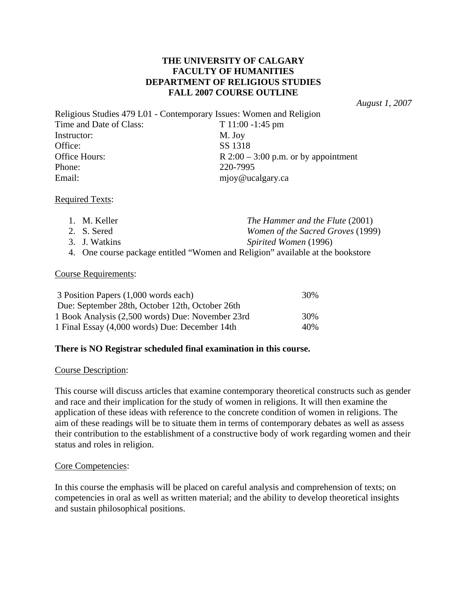# **THE UNIVERSITY OF CALGARY FACULTY OF HUMANITIES DEPARTMENT OF RELIGIOUS STUDIES FALL 2007 COURSE OUTLINE**

*August 1, 2007* 

Religious Studies 479 L01 - Contemporary Issues: Women and Religion Time and Date of Class: T 11:00 -1:45 pm Instructor: M. Joy Office: SS 1318 Office Hours:  $R 2:00 - 3:00$  p.m. or by appointment Phone: 220-7995 Email: mjoy@ucalgary.ca

## Required Texts:

| 1. M. Keller                                                                   | The Hammer and the Flute (2001)          |
|--------------------------------------------------------------------------------|------------------------------------------|
| 2. S. Sered                                                                    | <i>Women of the Sacred Groves</i> (1999) |
| 3. J. Watkins                                                                  | Spirited Women (1996)                    |
| 4. One course package entitled "Women and Religion" available at the bookstore |                                          |

#### Course Requirements:

| 3 Position Papers (1,000 words each)             | 30%  |
|--------------------------------------------------|------|
| Due: September 28th, October 12th, October 26th  |      |
| 1 Book Analysis (2,500 words) Due: November 23rd | 30%  |
| 1 Final Essay (4,000 words) Due: December 14th   | 40\% |

## **There is NO Registrar scheduled final examination in this course.**

#### Course Description:

This course will discuss articles that examine contemporary theoretical constructs such as gender and race and their implication for the study of women in religions. It will then examine the application of these ideas with reference to the concrete condition of women in religions. The aim of these readings will be to situate them in terms of contemporary debates as well as assess their contribution to the establishment of a constructive body of work regarding women and their status and roles in religion.

## Core Competencies:

In this course the emphasis will be placed on careful analysis and comprehension of texts; on competencies in oral as well as written material; and the ability to develop theoretical insights and sustain philosophical positions.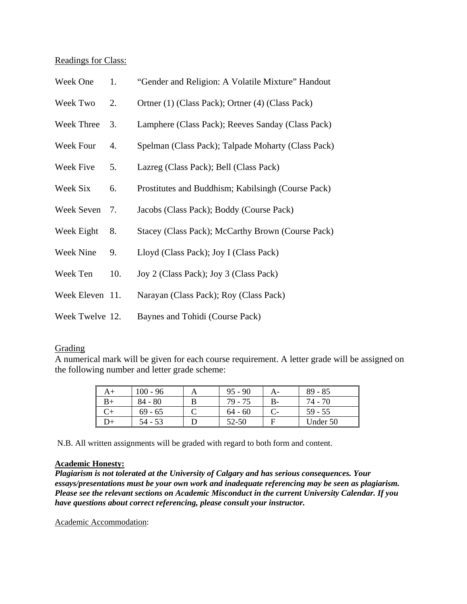## Readings for Class:

| Week One        | 1.  | "Gender and Religion: A Volatile Mixture" Handout  |
|-----------------|-----|----------------------------------------------------|
| Week Two        | 2.  | Ortner (1) (Class Pack); Ortner (4) (Class Pack)   |
| Week Three      | 3.  | Lamphere (Class Pack); Reeves Sanday (Class Pack)  |
| Week Four       | 4.  | Spelman (Class Pack); Talpade Moharty (Class Pack) |
| Week Five       | 5.  | Lazreg (Class Pack); Bell (Class Pack)             |
| Week Six        | 6.  | Prostitutes and Buddhism; Kabilsingh (Course Pack) |
| Week Seven      | 7.  | Jacobs (Class Pack); Boddy (Course Pack)           |
| Week Eight      | 8.  | Stacey (Class Pack); McCarthy Brown (Course Pack)  |
| Week Nine       | 9.  | Lloyd (Class Pack); Joy I (Class Pack)             |
| Week Ten        | 10. | Joy 2 (Class Pack); Joy 3 (Class Pack)             |
| Week Eleven 11. |     | Narayan (Class Pack); Roy (Class Pack)             |
| Week Twelve 12. |     | Baynes and Tohidi (Course Pack)                    |

## Grading

A numerical mark will be given for each course requirement. A letter grade will be assigned on the following number and letter grade scheme:

| A+ | $100 - 96$ | $95 - 90$ |      | $89 - 85$ |
|----|------------|-----------|------|-----------|
| B+ | $84 - 80$  | 79 - 75   | $B-$ | 74 - 70   |
|    | $69 - 65$  | $64 - 60$ |      | $59 - 55$ |
| D+ | 54 - 53    | 52-50     |      | Under 50  |

N.B. All written assignments will be graded with regard to both form and content.

## **Academic Honesty:**

*Plagiarism is not tolerated at the University of Calgary and has serious consequences. Your essays/presentations must be your own work and inadequate referencing may be seen as plagiarism. Please see the relevant sections on Academic Misconduct in the current University Calendar. If you have questions about correct referencing, please consult your instructor.* 

Academic Accommodation: